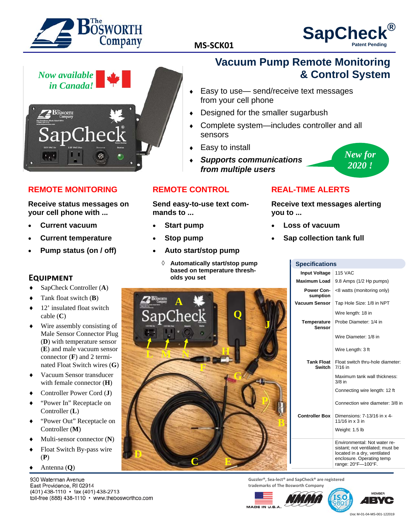

# **SapCheck**<br>MS-SCK01 **Patent Pending**

*New for 2020 !* 



#### **REMOTE MONITORING**

**Receive status messages on your cell phone with ...** 

- **Current vacuum**
- **Current temperature**
- **Pump status (on / off)**

#### **EQUIPMENT**

- SapCheck Controller (**A**)
- Tank float switch (**B**)
- $\triangleleft$  12' insulated float switch cable (**C**)
- Wire assembly consisting of Male Sensor Connector Plug (**D**) with temperature sensor (**E**) and male vacuum sensor connector (**F**) and 2 terminated Float Switch wires (**G**)
- Vacuum Sensor transducer with female connector (**H**)
- Controller Power Cord (**J**)
- "Power In" Receptacle on Controller (**L**)
- "Power Out" Receptacle on Controller (**M**)
- Multi-sensor connector (**N**)
- ◆ Float Switch By-pass wire (**P**)
- Antenna (**Q**)

930 Waterman Avenue East Providence, RI 02914 (401) 438-1110 · fax (401) 438-2713 toll-free (888) 438-1110 · www.thebosworthco.com

# **Vacuum Pump Remote Monitoring & Control System**

- Easy to use— send/receive text messages from your cell phone
- Designed for the smaller sugarbush
- Complete system—includes controller and all sensors
- Easy to install
- *Supports communications from multiple users*

#### **REMOTE CONTROL**

#### **Send easy-to-use text commands to ...**

- **Start pump**
- **Stop pump**
- **Auto start/stop pump** 
	- **Automatically start/stop pump based on temperature thresholds you set**



## **REAL-TIME ALERTS**

**Receive text messages alerting you to ...** 

- **Loss of vacuum**
- **Sap collection tank full**

| <b>Specifications</b>              |                                                                                                                                                     |
|------------------------------------|-----------------------------------------------------------------------------------------------------------------------------------------------------|
| <b>Input Voltage</b>               | <b>115 VAC</b>                                                                                                                                      |
| <b>Maximum Load</b>                | 9.8 Amps (1/2 Hp pumps)                                                                                                                             |
| Power Con-<br>sumption             | <8 watts (monitoring only)                                                                                                                          |
| Vacuum Sensor                      | Tap Hole Size: 1/8 in NPT                                                                                                                           |
|                                    | Wire length: 18 in                                                                                                                                  |
| Temperature<br>Sensor              | Probe Diameter: 1/4 in                                                                                                                              |
|                                    | Wire Diameter: 1/8 in                                                                                                                               |
|                                    | Wire Length: 3 ft                                                                                                                                   |
| <b>Tank Float</b><br><b>Switch</b> | Float switch thru-hole diameter:<br>7/16 in                                                                                                         |
|                                    | Maximum tank wall thickness:<br>$3/8$ in                                                                                                            |
|                                    | Connecting wire length: 12 ft                                                                                                                       |
|                                    | Connection wire diameter: 3/8 in                                                                                                                    |
| <b>Controller Box</b>              | Dimensions: 7-13/16 in x 4-<br>11/16 in x 3 in                                                                                                      |
|                                    | Weight: 1.5 lb                                                                                                                                      |
|                                    | Environmental: Not water re-<br>sistant; not ventilated; must be<br>located in a dry, ventilated<br>enclosure. Operating temp<br>range: 20°F-100°F. |

**Guzzler®, Sea‐lect® and SapCheck® are registered trademarks of The Bosworth Company**







Doc M-01-04-MS-001-122019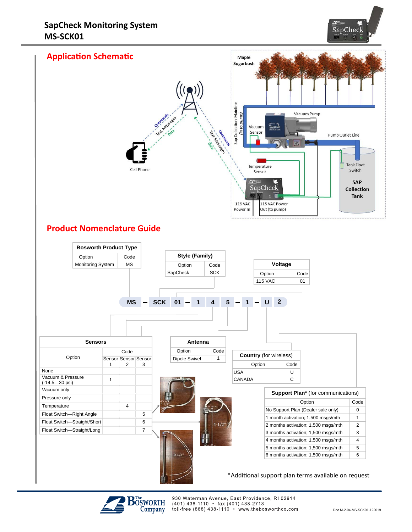





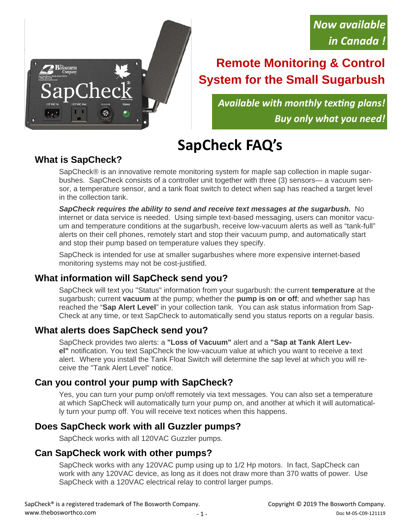# **Remote Monitoring & Control System for the Small Sugarbush**

*Available with monthly texƟng plans! Buy only what you need!* 

# **SapCheck FAQ's**

# **What is SapCheck?**

Thec

 $\mathbf{B}$ öśworth

SapCheck® is an innovative remote monitoring system for maple sap collection in maple sugarbushes. SapCheck consists of a controller unit together with three (3) sensors— a vacuum sensor, a temperature sensor, and a tank float switch to detect when sap has reached a target level in the collection tank.

*SapCheck requires the ability to send and receive text messages at the sugarbush.* No internet or data service is needed.Using simple text-based messaging, users can monitor vacuum and temperature conditions at the sugarbush, receive low-vacuum alerts as well as "tank-full" alerts on their cell phones, remotely start and stop their vacuum pump, and automatically start and stop their pump based on temperature values they specify.

SapCheck is intended for use at smaller sugarbushes where more expensive internet-based monitoring systems may not be cost-justified.

# **What information will SapCheck send you?**

SapCheck will text you "Status" information from your sugarbush: the current **temperature** at the sugarbush; current **vacuum** at the pump; whether the **pump is on or off**; and whether sap has reached the "**Sap Alert Level**" in your collection tank. You can ask status information from Sap-Check at any time, or text SapCheck to automatically send you status reports on a regular basis.

# **What alerts does SapCheck send you?**

SapCheck provides two alerts: a **"Loss of Vacuum"** alert and a **"Sap at Tank Alert Level"** notification. You text SapCheck the low-vacuum value at which you want to receive a text alert. Where you install the Tank Float Switch will determine the sap level at which you will receive the "Tank Alert Level" notice.

# **Can you control your pump with SapCheck?**

Yes, you can turn your pump on/off remotely via text messages. You can also set a temperature at which SapCheck will automatically turn your pump on, and another at which it will automatically turn your pump off. You will receive text notices when this happens.

# **Does SapCheck work with all Guzzler pumps?**

SapCheck works with all 120VAC Guzzler pumps.

# **Can SapCheck work with other pumps?**

SapCheck works with any 120VAC pump using up to 1/2 Hp motors. In fact, SapCheck can work with any 120VAC device, as long as it does not draw more than 370 watts of power. Use SapCheck with a 120VAC electrical relay to control larger pumps.